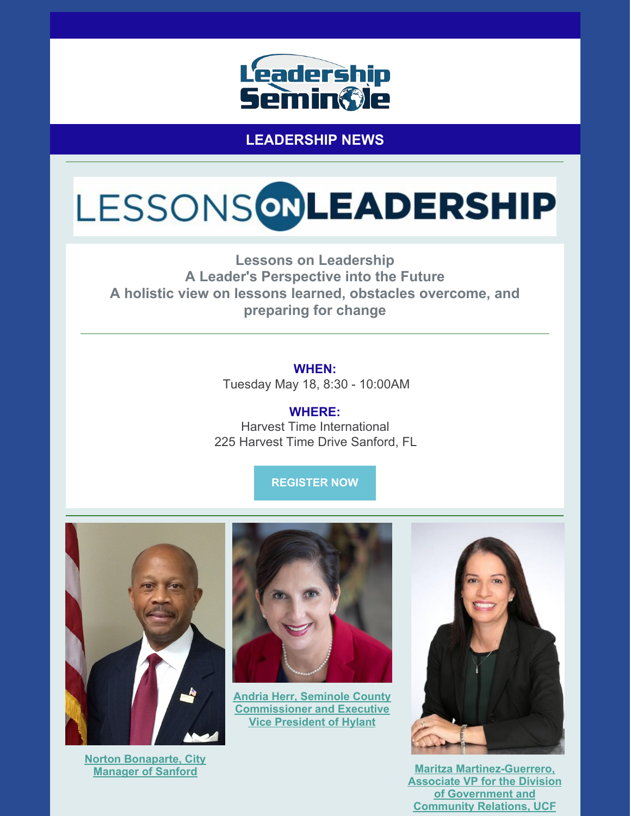

**LEADERSHIP NEWS**

# LESSONSONLEADERSHIP

**Lessons on Leadership A Leader's Perspective into the Future A holistic view on lessons learned, obstacles overcome, and preparing for change**

> **WHEN:** Tuesday May 18, 8:30 - 10:00AM

**WHERE:** Harvest Time International 225 Harvest Time Drive Sanford, FL

**[REGISTER](https://leadershipseminole.org/event/lessonsonleadership/) NOW**



**Norton [Bonaparte,](https://files.constantcontact.com/206c3f27be/bcc69388-f605-435b-96e0-0dafff9a002a.pdf) City Manager of Sanford**



**Andria Herr, Seminole County [Commissioner](https://files.constantcontact.com/206c3f27be/86b296f1-2f3f-4615-a08e-83fca03df2f8.pdf) and Executive Vice President of Hylant**



**Maritza [Martinez-Guerrero,](https://files.constantcontact.com/206c3f27be/0f764a7a-057d-443f-9e22-9d1f1294678f.pdf) Associate VP for the Division of Government and Community Relations, UCF**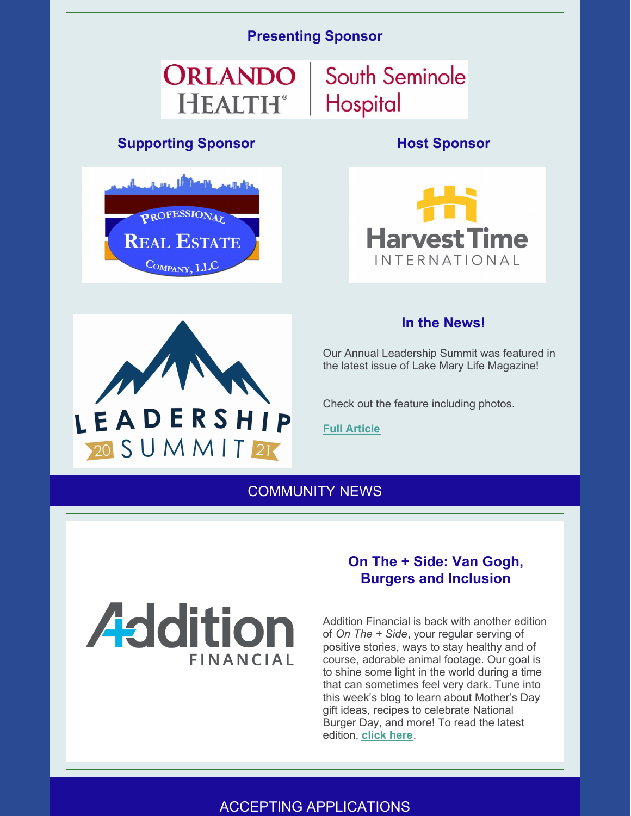#### **Presenting Sponsor**

# ORLANDO **HEALTH**<sup>®</sup>

## **Supporting Sponsor Host Sponsor**



LEADERSHIP

20 S U M M I T 21



South Seminole

Hospital



#### **In the News!**

Our Annual Leadership Summit was featured in the latest issue of Lake Mary Life Magazine!

Check out the feature including photos.

**Full [Article](https://www.lakemarylife.com/filerepository/archives/5-21lml/index.html)**

COMMUNITY NEWS



#### **On The + Side: Van Gogh, Burgers and Inclusion**

Addition Financial is back with another edition of *On The + Side*, your regular serving of positive stories, ways to stay healthy and of course, adorable animal footage. Our goal is to shine some light in the world during a time that can sometimes feel very dark. Tune into this week's blog to learn about Mother's Day gift ideas, recipes to celebrate National Burger Day, and more! To read the latest edition, **[click](https://resources.additionfi.com/on-the-side-van-gogh-burgers-and-inclusion) here**.

# ACCEPTING APPLICATIONS